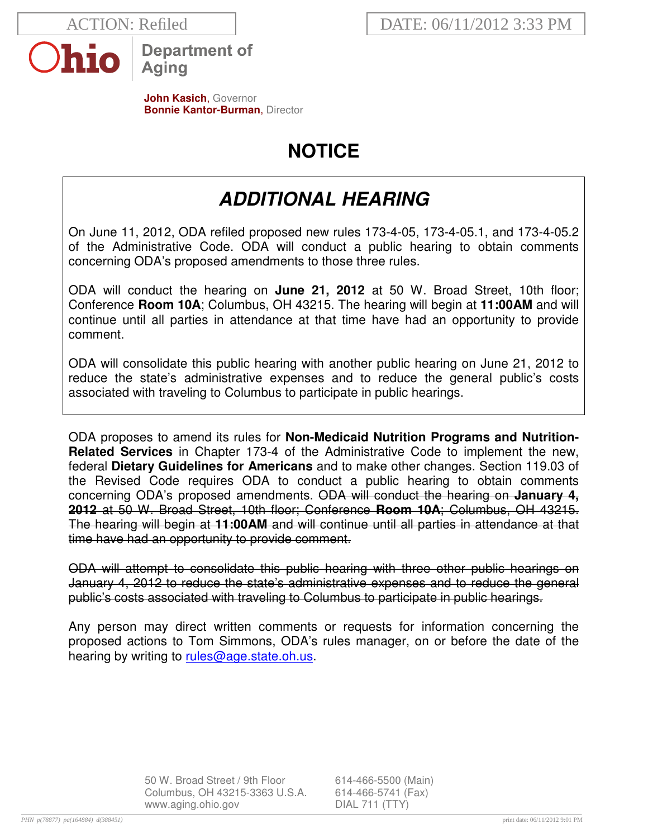

**Department of Aging** 

**John Kasich**, Governor **Bonnie Kantor-Burman, Director** 

# **NOTICE**

## **ADDITIONAL HEARING**

On June 11, 2012, ODA refiled proposed new rules 173-4-05, 173-4-05.1, and 173-4-05.2 of the Administrative Code. ODA will conduct a public hearing to obtain comments concerning ODA's proposed amendments to those three rules.

ODA will conduct the hearing on **June 21, 2012** at 50 W. Broad Street, 10th floor; Conference **Room 10A**; Columbus, OH 43215. The hearing will begin at **11:00AM** and will continue until all parties in attendance at that time have had an opportunity to provide comment.

ODA will consolidate this public hearing with another public hearing on June 21, 2012 to reduce the state's administrative expenses and to reduce the general public's costs associated with traveling to Columbus to participate in public hearings.

ODA proposes to amend its rules for **Non-Medicaid Nutrition Programs and Nutrition-Related Services** in Chapter 173-4 of the Administrative Code to implement the new, federal **Dietary Guidelines for Americans** and to make other changes. Section 119.03 of the Revised Code requires ODA to conduct a public hearing to obtain comments concerning ODA's proposed amendments. ODA will conduct the hearing on **January 4, 2012** at 50 W. Broad Street, 10th floor; Conference **Room 10A**; Columbus, OH 43215. The hearing will begin at **11:00AM** and will continue until all parties in attendance at that time have had an opportunity to provide comment.

ODA will attempt to consolidate this public hearing with three other public hearings on January 4, 2012 to reduce the state's administrative expenses and to reduce the general public's costs associated with traveling to Columbus to participate in public hearings.

Any person may direct written comments or requests for information concerning the proposed actions to Tom Simmons, ODA's rules manager, on or before the date of the hearing by writing to rules@age.state.oh.us.

> 50 W. Broad Street / 9th Floor 614-466-5500 (Main) Columbus, OH 43215-3363 U.S.A. 614-466-5741 (Fax) www.aging.ohio.gov DIAL 711 (TTY)

*PHN p(78877) pa(164884) d(388451)* print date: 06/11/2012 9:01 PM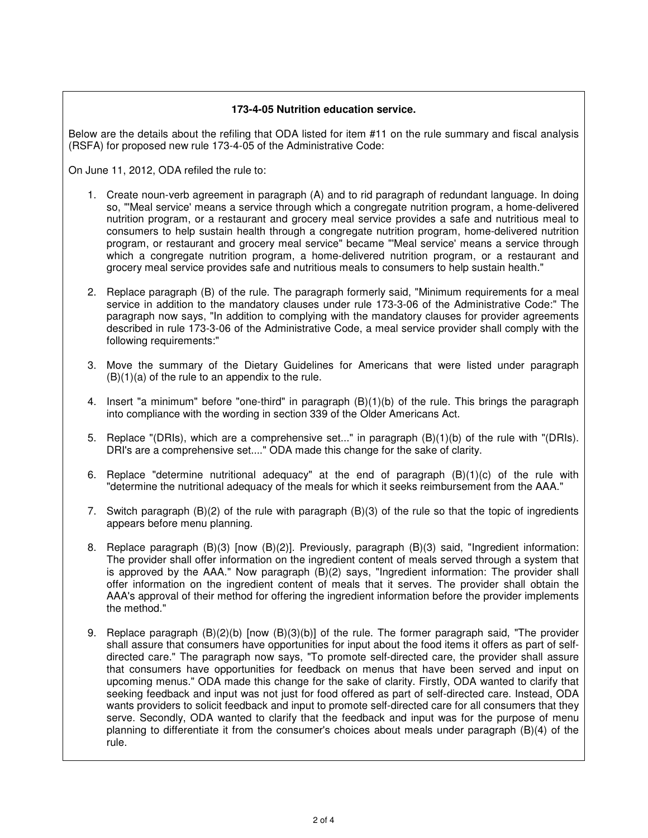#### **173-4-05 Nutrition education service.**

Below are the details about the refiling that ODA listed for item #11 on the rule summary and fiscal analysis (RSFA) for proposed new rule 173-4-05 of the Administrative Code:

On June 11, 2012, ODA refiled the rule to:

- 1. Create noun-verb agreement in paragraph (A) and to rid paragraph of redundant language. In doing so, "'Meal service' means a service through which a congregate nutrition program, a home-delivered nutrition program, or a restaurant and grocery meal service provides a safe and nutritious meal to consumers to help sustain health through a congregate nutrition program, home-delivered nutrition program, or restaurant and grocery meal service" became "'Meal service' means a service through which a congregate nutrition program, a home-delivered nutrition program, or a restaurant and grocery meal service provides safe and nutritious meals to consumers to help sustain health."
- 2. Replace paragraph (B) of the rule. The paragraph formerly said, "Minimum requirements for a meal service in addition to the mandatory clauses under rule 173-3-06 of the Administrative Code:" The paragraph now says, "In addition to complying with the mandatory clauses for provider agreements described in rule 173-3-06 of the Administrative Code, a meal service provider shall comply with the following requirements:"
- 3. Move the summary of the Dietary Guidelines for Americans that were listed under paragraph  $(B)(1)(a)$  of the rule to an appendix to the rule.
- 4. Insert "a minimum" before "one-third" in paragraph (B)(1)(b) of the rule. This brings the paragraph into compliance with the wording in section 339 of the Older Americans Act.
- 5. Replace "(DRIs), which are a comprehensive set..." in paragraph (B)(1)(b) of the rule with "(DRIs). DRI's are a comprehensive set...." ODA made this change for the sake of clarity.
- 6. Replace "determine nutritional adequacy" at the end of paragraph (B)(1)(c) of the rule with "determine the nutritional adequacy of the meals for which it seeks reimbursement from the AAA."
- 7. Switch paragraph (B)(2) of the rule with paragraph (B)(3) of the rule so that the topic of ingredients appears before menu planning.
- 8. Replace paragraph (B)(3) [now (B)(2)]. Previously, paragraph (B)(3) said, "Ingredient information: The provider shall offer information on the ingredient content of meals served through a system that is approved by the AAA." Now paragraph (B)(2) says, "Ingredient information: The provider shall offer information on the ingredient content of meals that it serves. The provider shall obtain the AAA's approval of their method for offering the ingredient information before the provider implements the method."
- 9. Replace paragraph (B)(2)(b) [now (B)(3)(b)] of the rule. The former paragraph said, "The provider shall assure that consumers have opportunities for input about the food items it offers as part of selfdirected care." The paragraph now says, "To promote self-directed care, the provider shall assure that consumers have opportunities for feedback on menus that have been served and input on upcoming menus." ODA made this change for the sake of clarity. Firstly, ODA wanted to clarify that seeking feedback and input was not just for food offered as part of self-directed care. Instead, ODA wants providers to solicit feedback and input to promote self-directed care for all consumers that they serve. Secondly, ODA wanted to clarify that the feedback and input was for the purpose of menu planning to differentiate it from the consumer's choices about meals under paragraph (B)(4) of the rule.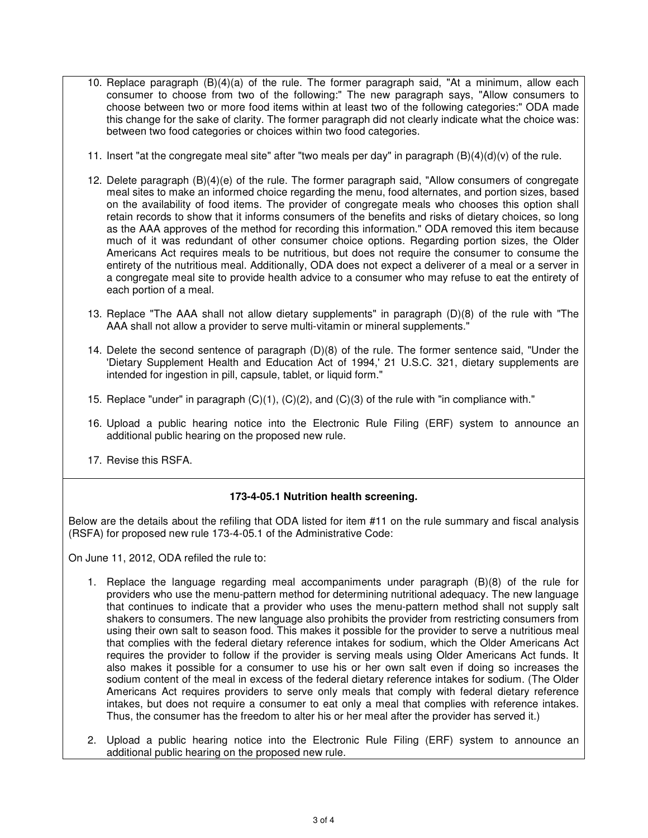- 10. Replace paragraph (B)(4)(a) of the rule. The former paragraph said, "At a minimum, allow each consumer to choose from two of the following:" The new paragraph says, "Allow consumers to choose between two or more food items within at least two of the following categories:" ODA made this change for the sake of clarity. The former paragraph did not clearly indicate what the choice was: between two food categories or choices within two food categories.
- 11. Insert "at the congregate meal site" after "two meals per day" in paragraph  $(B)(4)(d)(v)$  of the rule.
- 12. Delete paragraph (B)(4)(e) of the rule. The former paragraph said, "Allow consumers of congregate meal sites to make an informed choice regarding the menu, food alternates, and portion sizes, based on the availability of food items. The provider of congregate meals who chooses this option shall retain records to show that it informs consumers of the benefits and risks of dietary choices, so long as the AAA approves of the method for recording this information." ODA removed this item because much of it was redundant of other consumer choice options. Regarding portion sizes, the Older Americans Act requires meals to be nutritious, but does not require the consumer to consume the entirety of the nutritious meal. Additionally, ODA does not expect a deliverer of a meal or a server in a congregate meal site to provide health advice to a consumer who may refuse to eat the entirety of each portion of a meal.
- 13. Replace "The AAA shall not allow dietary supplements" in paragraph (D)(8) of the rule with "The AAA shall not allow a provider to serve multi-vitamin or mineral supplements."
- 14. Delete the second sentence of paragraph (D)(8) of the rule. The former sentence said, "Under the 'Dietary Supplement Health and Education Act of 1994,' 21 U.S.C. 321, dietary supplements are intended for ingestion in pill, capsule, tablet, or liquid form."
- 15. Replace "under" in paragraph (C)(1), (C)(2), and (C)(3) of the rule with "in compliance with."
- 16. Upload a public hearing notice into the Electronic Rule Filing (ERF) system to announce an additional public hearing on the proposed new rule.
- 17. Revise this RSFA.

#### **173-4-05.1 Nutrition health screening.**

Below are the details about the refiling that ODA listed for item #11 on the rule summary and fiscal analysis (RSFA) for proposed new rule 173-4-05.1 of the Administrative Code:

On June 11, 2012, ODA refiled the rule to:

- 1. Replace the language regarding meal accompaniments under paragraph (B)(8) of the rule for providers who use the menu-pattern method for determining nutritional adequacy. The new language that continues to indicate that a provider who uses the menu-pattern method shall not supply salt shakers to consumers. The new language also prohibits the provider from restricting consumers from using their own salt to season food. This makes it possible for the provider to serve a nutritious meal that complies with the federal dietary reference intakes for sodium, which the Older Americans Act requires the provider to follow if the provider is serving meals using Older Americans Act funds. It also makes it possible for a consumer to use his or her own salt even if doing so increases the sodium content of the meal in excess of the federal dietary reference intakes for sodium. (The Older Americans Act requires providers to serve only meals that comply with federal dietary reference intakes, but does not require a consumer to eat only a meal that complies with reference intakes. Thus, the consumer has the freedom to alter his or her meal after the provider has served it.)
- 2. Upload a public hearing notice into the Electronic Rule Filing (ERF) system to announce an additional public hearing on the proposed new rule.